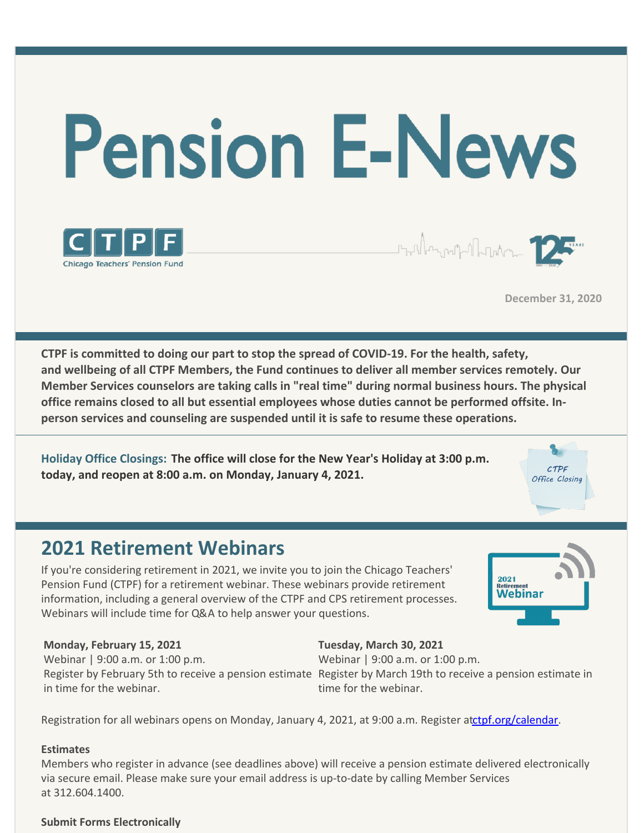

**December 31, 2020**

CTPF Office Closine

**CTPF is committed to doing our part to stop the spread of COVID-19. For the health, safety, and wellbeing of all CTPF Members, the Fund continues to deliver all member services remotely. Our Member Services counselors are taking calls in "real time" during normal business hours. The physical office remains closed to all but essential employees whose duties cannot be performed offsite. Inperson services and counseling are suspended until it is safe to resume these operations.**

**Holiday Office Closings: The office will close for the New Year's Holiday at 3:00 p.m. today, and reopen at 8:00 a.m. on Monday, January 4, 2021.**

### **2021 Retirement Webinars**

If you're considering retirement in 2021, we invite you to join the Chicago Teachers' Pension Fund (CTPF) for a retirement webinar. These webinars provide retirement information, including a general overview of the CTPF and CPS retirement processes. Webinars will include time for Q&A to help answer your questions.

# 2021 <sub>keurement</sub><br>Webinar

#### **Monday, February 15, 2021**

Webinar | 9:00 a.m. or 1:00 p.m. in time for the webinar.

Register by February 5th to receive a pension estimate Register by March 19th to receive a pension estimate in Webinar | 9:00 a.m. or 1:00 p.m. time for the webinar.

**Tuesday, March 30, 2021**

Registration for all webinars opens on Monday, January 4, 2021, at 9:00 a.m. Register atctpf.org/calendar.

#### **Estimates**

Members who register in advance (see deadlines above) will receive a pension estimate delivered electronically via secure email. Please make sure your email address is up-to-date by calling Member Services at 312.604.1400.

#### **Submit Forms Electronically**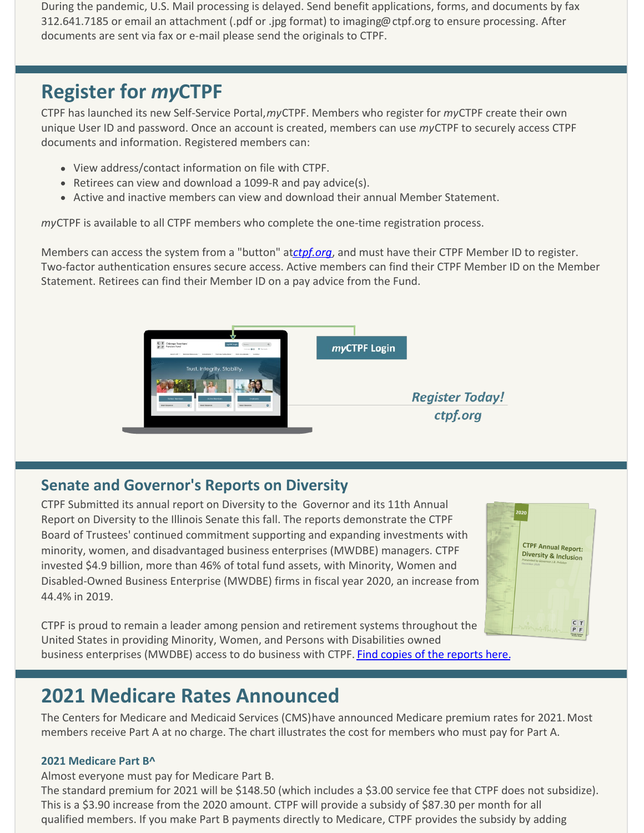During the pandemic, U.S. Mail processing is delayed. Send benefit applications, forms, and documents by fax 312.641.7185 or email an attachment (.pdf or .jpg format) to imaging@ctpf.org to ensure processing. After documents are sent via fax or e-mail please send the originals to CTPF.

### **Register for** *my***CTPF**

CTPF has launched its new Self-Service Portal, *my*CTPF. Members who register for *my*CTPF create their own unique User ID and password. Once an account is created, members can use *my*CTPF to securely access CTPF documents and information. Registered members can:

- View address/contact information on file with CTPF.
- Retirees can view and download a 1099-R and pay advice(s).
- Active and inactive members can view and download their annual Member Statement.

*my*CTPF is available to all CTPF members who complete the one-time registration process.

Members can access the system from a "button" at *ctpf.org*, and must have their CTPF Member ID to register. Two-factor authentication ensures secure access. Active members can find their CTPF Member ID on the Member Statement. Retirees can find their Member ID on a pay advice from the Fund.



### **Senate and Governor's Reports on Diversity**

CTPF Submitted its annual report on Diversity to the Governor and its 11th Annual Report on Diversity to the Illinois Senate this fall. The reports demonstrate the CTPF Board of Trustees' continued commitment supporting and expanding investments with minority, women, and disadvantaged business enterprises (MWDBE) managers. CTPF invested \$4.9 billion, more than 46% of total fund assets, with Minority, Women and Disabled-Owned Business Enterprise (MWDBE) firms in fiscal year 2020, an increase from 44.4% in 2019.



CTPF is proud to remain a leader among pension and retirement systems throughout the United States in providing Minority, Women, and Persons with Disabilities owned business enterprises (MWDBE) access to do business with CTPF. Find copies of the reports here.

### **2021 Medicare Rates Announced**

The Centers for Medicare and Medicaid Services (CMS) have announced Medicare premium rates for 2021. Most members receive Part A at no charge. The chart illustrates the cost for members who must pay for Part A.

### **2021 Medicare Part B^**

Almost everyone must pay for Medicare Part B.

The standard premium for 2021 will be \$148.50 (which includes a \$3.00 service fee that CTPF does not subsidize). This is a \$3.90 increase from the 2020 amount. CTPF will provide a subsidy of \$87.30 per month for all qualified members. If you make Part B payments directly to Medicare, CTPF provides the subsidy by adding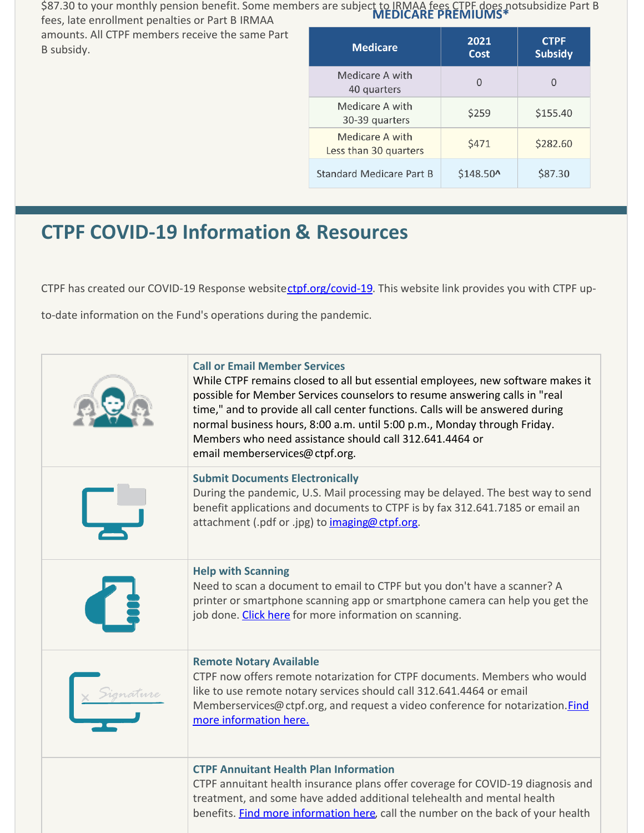\$87.30 to your monthly pension benefit. Some members are subject to IRMAA fees CTPF does not subsidize Part B<br>**MEDICARE PREMIUMS**\* fees, late enrollment penalties or Part B IRMAA

amounts. All CTPF members receive the same Part B subsidy.

| <b>Medicare</b>                          | 2021<br>Cost | <b>CTPF</b><br><b>Subsidy</b> |
|------------------------------------------|--------------|-------------------------------|
| Medicare A with<br>40 quarters           | $\Omega$     | $\Omega$                      |
| Medicare A with<br>30-39 quarters        | \$259        | \$155.40                      |
| Medicare A with<br>Less than 30 quarters | \$471        | \$282.60                      |
| Standard Medicare Part B                 | \$148.50^    | \$87.30                       |

### **CTPF COVID-19 Information & Resources**

CTPF has created our COVID-19 Response websitectpf.org/covid-19. This website link provides you with CTPF up-

to-date information on the Fund's operations during the pandemic.

| <b>Call or Email Member Services</b><br>While CTPF remains closed to all but essential employees, new software makes it<br>possible for Member Services counselors to resume answering calls in "real<br>time," and to provide all call center functions. Calls will be answered during<br>normal business hours, 8:00 a.m. until 5:00 p.m., Monday through Friday.<br>Members who need assistance should call 312.641.4464 or<br>email memberservices@ctpf.org. |
|------------------------------------------------------------------------------------------------------------------------------------------------------------------------------------------------------------------------------------------------------------------------------------------------------------------------------------------------------------------------------------------------------------------------------------------------------------------|
| <b>Submit Documents Electronically</b><br>During the pandemic, U.S. Mail processing may be delayed. The best way to send<br>benefit applications and documents to CTPF is by fax 312.641.7185 or email an<br>attachment (.pdf or .jpg) to imaging@ctpf.org.                                                                                                                                                                                                      |
| <b>Help with Scanning</b><br>Need to scan a document to email to CTPF but you don't have a scanner? A<br>printer or smartphone scanning app or smartphone camera can help you get the<br>job done. Click here for more information on scanning.                                                                                                                                                                                                                  |
| <b>Remote Notary Available</b><br>CTPF now offers remote notarization for CTPF documents. Members who would<br>like to use remote notary services should call 312.641.4464 or email<br>Memberservices@ctpf.org, and request a video conference for notarization. <i>Find</i><br>more information here.                                                                                                                                                           |
| <b>CTPF Annuitant Health Plan Information</b><br>CTPF annuitant health insurance plans offer coverage for COVID-19 diagnosis and<br>treatment, and some have added additional telehealth and mental health<br>benefits. Find more information here, call the number on the back of your health                                                                                                                                                                   |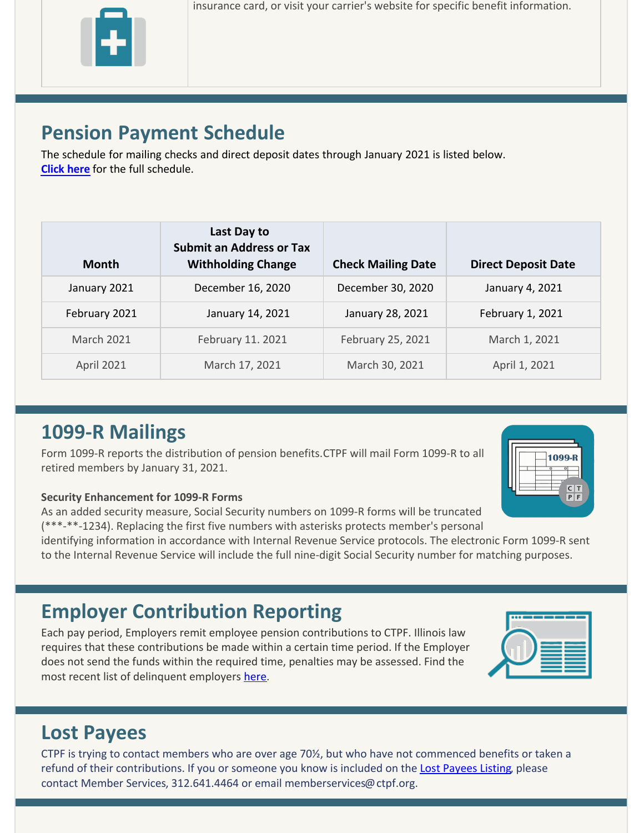insurance card, or visit your carrier's website for specific benefit information.

# **Pension Payment Schedule**

The schedule for mailing checks and direct deposit dates through January 2021 is listed below. **Click here** for the full schedule.

| <b>Month</b>      | Last Day to<br><b>Submit an Address or Tax</b><br><b>Withholding Change</b> | <b>Check Mailing Date</b> | <b>Direct Deposit Date</b> |
|-------------------|-----------------------------------------------------------------------------|---------------------------|----------------------------|
| January 2021      | December 16, 2020                                                           | December 30, 2020         | January 4, 2021            |
| February 2021     | January 14, 2021                                                            | January 28, 2021          | February 1, 2021           |
| <b>March 2021</b> | February 11. 2021                                                           | February 25, 2021         | March 1, 2021              |
| <b>April 2021</b> | March 17, 2021                                                              | March 30, 2021            | April 1, 2021              |

# **1099-R Mailings**

Form 1099-R reports the distribution of pension benefits. CTPF will mail Form 1099-R to all retired members by January 31, 2021.



### **Security Enhancement for 1099-R Forms**

As an added security measure, Social Security numbers on 1099-R forms will be truncated (\*\*\*-\*\*-1234). Replacing the first five numbers with asterisks protects member's personal

identifying information in accordance with Internal Revenue Service protocols. The electronic Form 1099-R sent to the Internal Revenue Service will include the full nine-digit Social Security number for matching purposes.

# **Employer Contribution Reporting**

Each pay period, Employers remit employee pension contributions to CTPF. Illinois law requires that these contributions be made within a certain time period. If the Employer does not send the funds within the required time, penalties may be assessed. Find the most recent list of delinquent employers here.



# **Lost Payees**

CTPF is trying to contact members who are over age 70½, but who have not commenced benefits or taken a refund of their contributions. If you or someone you know is included on the Lost Payees Listing, please contact Member Services, 312.641.4464 or email memberservices@ctpf.org.